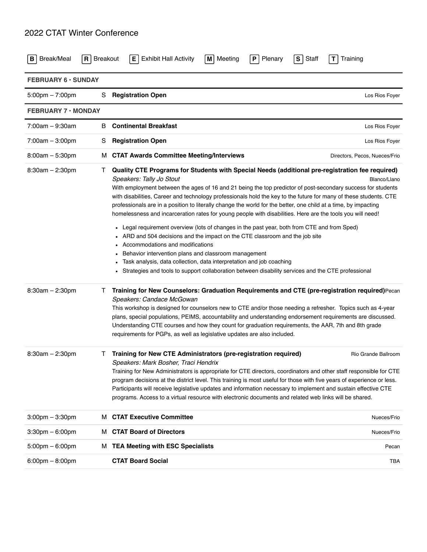## 2022 CTAT Winter Conference

| Break/Meal<br>в                   | $R$ Breakout               | <b>Exhibit Hall Activity</b><br>Meeting<br>Plenary<br>l El<br>M<br>P                                                                                                                                                                                                                                                                                                                                                                                                                                                                                                                                                                                                                                                                                                                                                                                                                                                                                                                                                                                    | Staff<br>s<br>Training<br>Т   |  |  |  |  |
|-----------------------------------|----------------------------|---------------------------------------------------------------------------------------------------------------------------------------------------------------------------------------------------------------------------------------------------------------------------------------------------------------------------------------------------------------------------------------------------------------------------------------------------------------------------------------------------------------------------------------------------------------------------------------------------------------------------------------------------------------------------------------------------------------------------------------------------------------------------------------------------------------------------------------------------------------------------------------------------------------------------------------------------------------------------------------------------------------------------------------------------------|-------------------------------|--|--|--|--|
|                                   | <b>FEBRUARY 6 · SUNDAY</b> |                                                                                                                                                                                                                                                                                                                                                                                                                                                                                                                                                                                                                                                                                                                                                                                                                                                                                                                                                                                                                                                         |                               |  |  |  |  |
| $5:00 \text{pm} - 7:00 \text{pm}$ | S                          | <b>Registration Open</b>                                                                                                                                                                                                                                                                                                                                                                                                                                                                                                                                                                                                                                                                                                                                                                                                                                                                                                                                                                                                                                | Los Rios Foyer                |  |  |  |  |
| <b>FEBRUARY 7 · MONDAY</b>        |                            |                                                                                                                                                                                                                                                                                                                                                                                                                                                                                                                                                                                                                                                                                                                                                                                                                                                                                                                                                                                                                                                         |                               |  |  |  |  |
| $7:00am - 9:30am$                 | В                          | <b>Continental Breakfast</b>                                                                                                                                                                                                                                                                                                                                                                                                                                                                                                                                                                                                                                                                                                                                                                                                                                                                                                                                                                                                                            | Los Rios Foyer                |  |  |  |  |
| $7:00am - 3:00pm$                 | S                          | <b>Registration Open</b>                                                                                                                                                                                                                                                                                                                                                                                                                                                                                                                                                                                                                                                                                                                                                                                                                                                                                                                                                                                                                                | Los Rios Foyer                |  |  |  |  |
| $8:00am - 5:30pm$                 | м                          | <b>CTAT Awards Committee Meeting/Interviews</b>                                                                                                                                                                                                                                                                                                                                                                                                                                                                                                                                                                                                                                                                                                                                                                                                                                                                                                                                                                                                         | Directors, Pecos, Nueces/Frio |  |  |  |  |
| $8:30am - 2:30pm$                 | Τ                          | Quality CTE Programs for Students with Special Needs (additional pre-registration fee required)<br>Speakers: Tally Jo Stout<br>With employment between the ages of 16 and 21 being the top predictor of post-secondary success for students<br>with disabilities, Career and technology professionals hold the key to the future for many of these students. CTE<br>professionals are in a position to literally change the world for the better, one child at a time, by impacting<br>homelessness and incarceration rates for young people with disabilities. Here are the tools you will need!<br>Legal requirement overview (lots of changes in the past year, both from CTE and from Sped)<br>ARD and 504 decisions and the impact on the CTE classroom and the job site<br>Accommodations and modifications<br>Behavior intervention plans and classroom management<br>Task analysis, data collection, data interpretation and job coaching<br>Strategies and tools to support collaboration between disability services and the CTE professional | Blanco/Llano                  |  |  |  |  |
| $8:30am - 2:30pm$                 | $\mathbf{I}$               | Training for New Counselors: Graduation Requirements and CTE (pre-registration required) Pecan<br>Speakers: Candace McGowan<br>This workshop is designed for counselors new to CTE and/or those needing a refresher. Topics such as 4-year<br>plans, special populations, PEIMS, accountability and understanding endorsement requirements are discussed.<br>Understanding CTE courses and how they count for graduation requirements, the AAR, 7th and 8th grade<br>requirements for PGPs, as well as legislative updates are also included.                                                                                                                                                                                                                                                                                                                                                                                                                                                                                                           |                               |  |  |  |  |
| $8:30am - 2:30pm$                 |                            | Training for New CTE Administrators (pre-registration required)<br>Speakers: Mark Bosher, Traci Hendrix<br>Training for New Administrators is appropriate for CTE directors, coordinators and other staff responsible for CTE<br>program decisions at the district level. This training is most useful for those with five years of experience or less.<br>Participants will receive legislative updates and information necessary to implement and sustain effective CTE<br>programs. Access to a virtual resource with electronic documents and related web links will be shared.                                                                                                                                                                                                                                                                                                                                                                                                                                                                     | Rio Grande Ballroom           |  |  |  |  |
| $3:00$ pm $-3:30$ pm              | м                          | <b>CTAT Executive Committee</b>                                                                                                                                                                                                                                                                                                                                                                                                                                                                                                                                                                                                                                                                                                                                                                                                                                                                                                                                                                                                                         | Nueces/Frio                   |  |  |  |  |
| $3:30$ pm $-6:00$ pm              | м                          | <b>CTAT Board of Directors</b>                                                                                                                                                                                                                                                                                                                                                                                                                                                                                                                                                                                                                                                                                                                                                                                                                                                                                                                                                                                                                          | Nueces/Frio                   |  |  |  |  |
| $5:00 \text{pm} - 6:00 \text{pm}$ | м                          | <b>TEA Meeting with ESC Specialists</b>                                                                                                                                                                                                                                                                                                                                                                                                                                                                                                                                                                                                                                                                                                                                                                                                                                                                                                                                                                                                                 | Pecan                         |  |  |  |  |
| $6:00 \text{pm} - 8:00 \text{pm}$ |                            | <b>CTAT Board Social</b>                                                                                                                                                                                                                                                                                                                                                                                                                                                                                                                                                                                                                                                                                                                                                                                                                                                                                                                                                                                                                                | TBA                           |  |  |  |  |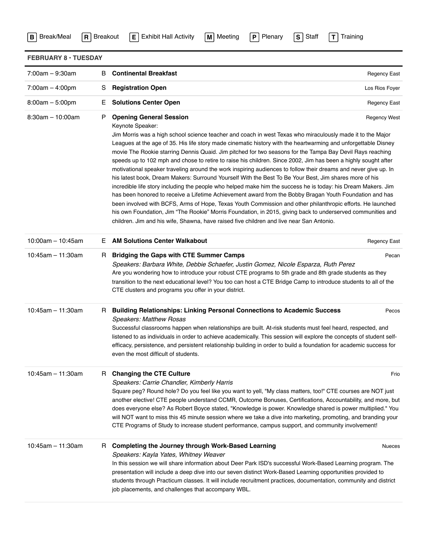| Break/Meal<br>$\mathbf{B}$  | <b>Exhibit Hall Activity</b><br><b>Breakout</b><br>Meeting<br>P<br>Plenary<br>S<br>Staff<br>T<br>$\mathbf{R}$<br>E<br>M<br>Training                                                                                                                                                                                                                                                                                                                                                                                                                                                                                                                                                                                                                                                                                                                                                                                                                                                                                                                                                                                                                                                                                                                                                                      |                     |
|-----------------------------|----------------------------------------------------------------------------------------------------------------------------------------------------------------------------------------------------------------------------------------------------------------------------------------------------------------------------------------------------------------------------------------------------------------------------------------------------------------------------------------------------------------------------------------------------------------------------------------------------------------------------------------------------------------------------------------------------------------------------------------------------------------------------------------------------------------------------------------------------------------------------------------------------------------------------------------------------------------------------------------------------------------------------------------------------------------------------------------------------------------------------------------------------------------------------------------------------------------------------------------------------------------------------------------------------------|---------------------|
| <b>FEBRUARY 8 · TUESDAY</b> |                                                                                                                                                                                                                                                                                                                                                                                                                                                                                                                                                                                                                                                                                                                                                                                                                                                                                                                                                                                                                                                                                                                                                                                                                                                                                                          |                     |
| 7:00am - 9:30am             | <b>Continental Breakfast</b><br>B                                                                                                                                                                                                                                                                                                                                                                                                                                                                                                                                                                                                                                                                                                                                                                                                                                                                                                                                                                                                                                                                                                                                                                                                                                                                        | Regency East        |
| $7:00am - 4:00pm$           | <b>Registration Open</b><br>S                                                                                                                                                                                                                                                                                                                                                                                                                                                                                                                                                                                                                                                                                                                                                                                                                                                                                                                                                                                                                                                                                                                                                                                                                                                                            | Los Rios Foyer      |
| $8:00am - 5:00pm$           | <b>Solutions Center Open</b><br>Е                                                                                                                                                                                                                                                                                                                                                                                                                                                                                                                                                                                                                                                                                                                                                                                                                                                                                                                                                                                                                                                                                                                                                                                                                                                                        | <b>Regency East</b> |
| $8:30am - 10:00am$          | <b>Opening General Session</b><br>P<br>Keynote Speaker:<br>Jim Morris was a high school science teacher and coach in west Texas who miraculously made it to the Major<br>Leagues at the age of 35. His life story made cinematic history with the heartwarming and unforgettable Disney<br>movie The Rookie starring Dennis Quaid. Jim pitched for two seasons for the Tampa Bay Devil Rays reaching<br>speeds up to 102 mph and chose to retire to raise his children. Since 2002, Jim has been a highly sought after<br>motivational speaker traveling around the work inspiring audiences to follow their dreams and never give up. In<br>his latest book, Dream Makers: Surround Yourself With the Best To Be Your Best, Jim shares more of his<br>incredible life story including the people who helped make him the success he is today: his Dream Makers. Jim<br>has been honored to receive a Lifetime Achievement award from the Bobby Bragan Youth Foundation and has<br>been involved with BCFS, Arms of Hope, Texas Youth Commission and other philanthropic efforts. He launched<br>his own Foundation, Jim "The Rookie" Morris Foundation, in 2015, giving back to underserved communities and<br>children. Jim and his wife, Shawna, have raised five children and live near San Antonio. | <b>Regency West</b> |
| $10:00$ am - 10:45am        | <b>AM Solutions Center Walkabout</b><br>Е                                                                                                                                                                                                                                                                                                                                                                                                                                                                                                                                                                                                                                                                                                                                                                                                                                                                                                                                                                                                                                                                                                                                                                                                                                                                | Regency East        |
| $10:45$ am - 11:30am        | <b>Bridging the Gaps with CTE Summer Camps</b><br>H.<br>Speakers: Barbara White, Debbie Schaefer, Justin Gomez, Nicole Esparza, Ruth Perez<br>Are you wondering how to introduce your robust CTE programs to 5th grade and 8th grade students as they<br>transition to the next educational level? You too can host a CTE Bridge Camp to introduce students to all of the<br>CTE clusters and programs you offer in your district.                                                                                                                                                                                                                                                                                                                                                                                                                                                                                                                                                                                                                                                                                                                                                                                                                                                                       | Pecan               |
| $10:45$ am - 11:30am        | <b>Building Relationships: Linking Personal Connections to Academic Success</b><br>H.<br><b>Speakers: Matthew Rosas</b><br>Successful classrooms happen when relationships are built. At-risk students must feel heard, respected, and<br>listened to as individuals in order to achieve academically. This session will explore the concepts of student self-<br>efficacy, persistence, and persistent relationship building in order to build a foundation for academic success for<br>even the most difficult of students.                                                                                                                                                                                                                                                                                                                                                                                                                                                                                                                                                                                                                                                                                                                                                                            | Pecos               |
| $10:45$ am - 11:30am        | <b>Changing the CTE Culture</b><br>H.<br>Speakers: Carrie Chandler, Kimberly Harris<br>Square peg? Round hole? Do you feel like you want to yell, "My class matters, too!" CTE courses are NOT just<br>another elective! CTE people understand CCMR, Outcome Bonuses, Certifications, Accountability, and more, but<br>does everyone else? As Robert Boyce stated, "Knowledge is power. Knowledge shared is power multiplied." You<br>will NOT want to miss this 45 minute session where we take a dive into marketing, promoting, and branding your<br>CTE Programs of Study to increase student performance, campus support, and community involvement!                                                                                                                                                                                                                                                                                                                                                                                                                                                                                                                                                                                                                                                | Frio                |
| $10:45$ am - 11:30am        | <b>Completing the Journey through Work-Based Learning</b><br>R.<br>Speakers: Kayla Yates, Whitney Weaver<br>In this session we will share information about Deer Park ISD's successful Work-Based Learning program. The<br>presentation will include a deep dive into our seven distinct Work-Based Learning opportunities provided to<br>students through Practicum classes. It will include recruitment practices, documentation, community and district<br>job placements, and challenges that accompany WBL.                                                                                                                                                                                                                                                                                                                                                                                                                                                                                                                                                                                                                                                                                                                                                                                         | <b>Nueces</b>       |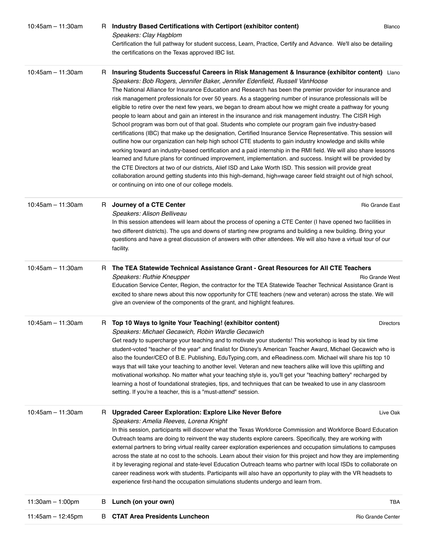| 10:45am - 11:30am    | н  | Industry Based Certifications with Certiport (exhibitor content)<br>Speakers: Clay Hagblom<br>Certification the full pathway for student success, Learn, Practice, Certify and Advance. We'll also be detailing<br>the certifications on the Texas approved IBC list.                                                                                                                                                                                                                                                                                                                                                                                                                                                                                                                                                                                                                                                                                                                                                                                                                                                                                                                                                                                                                                                                                                                                                                                                                                | Blanco            |
|----------------------|----|------------------------------------------------------------------------------------------------------------------------------------------------------------------------------------------------------------------------------------------------------------------------------------------------------------------------------------------------------------------------------------------------------------------------------------------------------------------------------------------------------------------------------------------------------------------------------------------------------------------------------------------------------------------------------------------------------------------------------------------------------------------------------------------------------------------------------------------------------------------------------------------------------------------------------------------------------------------------------------------------------------------------------------------------------------------------------------------------------------------------------------------------------------------------------------------------------------------------------------------------------------------------------------------------------------------------------------------------------------------------------------------------------------------------------------------------------------------------------------------------------|-------------------|
| $10:45$ am - 11:30am | H. | Insuring Students Successful Careers in Risk Management & Insurance (exhibitor content) Llano<br>Speakers: Bob Rogers, Jennifer Baker, Jennifer Edenfield, Russell VanHoose<br>The National Alliance for Insurance Education and Research has been the premier provider for insurance and<br>risk management professionals for over 50 years. As a staggering number of insurance professionals will be<br>eligible to retire over the next few years, we began to dream about how we might create a pathway for young<br>people to learn about and gain an interest in the insurance and risk management industry. The CISR High<br>School program was born out of that goal. Students who complete our program gain five industry-based<br>certifications (IBC) that make up the designation, Certified Insurance Service Representative. This session will<br>outline how our organization can help high school CTE students to gain industry knowledge and skills while<br>working toward an industry-based certification and a paid internship in the RMI field. We will also share lessons<br>learned and future plans for continued improvement, implementation, and success. Insight will be provided by<br>the CTE Directors at two of our districts, Alief ISD and Lake Worth ISD. This session will provide great<br>collaboration around getting students into this high-demand, high=wage career field straight out of high school,<br>or continuing on into one of our college models. |                   |
| $10:45$ am - 11:30am | H. | Journey of a CTE Center<br>Speakers: Alison Belliveau<br>In this session attendees will learn about the process of opening a CTE Center (I have opened two facilities in<br>two different districts). The ups and downs of starting new programs and building a new building. Bring your<br>questions and have a great discussion of answers with other attendees. We will also have a virtual tour of our<br>facility.                                                                                                                                                                                                                                                                                                                                                                                                                                                                                                                                                                                                                                                                                                                                                                                                                                                                                                                                                                                                                                                                              | Rio Grande East   |
| $10:45$ am - 11:30am | н  | The TEA Statewide Technical Assistance Grant - Great Resources for All CTE Teachers<br>Speakers: Ruthie Kneupper<br>Education Service Center, Region, the contractor for the TEA Statewide Teacher Technical Assistance Grant is<br>excited to share news about this now opportunity for CTE teachers (new and veteran) across the state. We will<br>give an overview of the components of the grant, and highlight features.                                                                                                                                                                                                                                                                                                                                                                                                                                                                                                                                                                                                                                                                                                                                                                                                                                                                                                                                                                                                                                                                        | Rio Grande West   |
| $10:45$ am - 11:30am | R. | Top 10 Ways to Ignite Your Teaching! (exhibitor content)<br>Speakers: Michael Gecawich, Robin Wardle Gecawich<br>Get ready to supercharge your teaching and to motivate your students! This workshop is lead by six time<br>student-voted "teacher of the year" and finalist for Disney's American Teacher Award, Michael Gecawich who is<br>also the founder/CEO of B.E. Publishing, EduTyping.com, and eReadiness.com. Michael will share his top 10<br>ways that will take your teaching to another level. Veteran and new teachers alike will love this uplifting and<br>motivational workshop. No matter what your teaching style is, you'll get your "teaching battery" recharged by<br>learning a host of foundational strategies, tips, and techniques that can be tweaked to use in any classroom<br>setting. If you're a teacher, this is a "must-attend" session.                                                                                                                                                                                                                                                                                                                                                                                                                                                                                                                                                                                                                         | <b>Directors</b>  |
| $10:45$ am - 11:30am | н  | <b>Upgraded Career Exploration: Explore Like Never Before</b><br>Speakers: Amelia Reeves, Lorena Knight<br>In this session, participants will discover what the Texas Workforce Commission and Workforce Board Education<br>Outreach teams are doing to reinvent the way students explore careers. Specifically, they are working with<br>external partners to bring virtual reality career exploration experiences and occupation simulations to campuses<br>across the state at no cost to the schools. Learn about their vision for this project and how they are implementing<br>it by leveraging regional and state-level Education Outreach teams who partner with local ISDs to collaborate on<br>career readiness work with students. Participants will also have an opportunity to play with the VR headsets to<br>experience first-hand the occupation simulations students undergo and learn from.                                                                                                                                                                                                                                                                                                                                                                                                                                                                                                                                                                                        | Live Oak          |
| 11:30am $-$ 1:00pm   | в  | Lunch (on your own)                                                                                                                                                                                                                                                                                                                                                                                                                                                                                                                                                                                                                                                                                                                                                                                                                                                                                                                                                                                                                                                                                                                                                                                                                                                                                                                                                                                                                                                                                  | TBA               |
| 11:45am $-$ 12:45pm  | в  | <b>CTAT Area Presidents Luncheon</b>                                                                                                                                                                                                                                                                                                                                                                                                                                                                                                                                                                                                                                                                                                                                                                                                                                                                                                                                                                                                                                                                                                                                                                                                                                                                                                                                                                                                                                                                 | Rio Grande Center |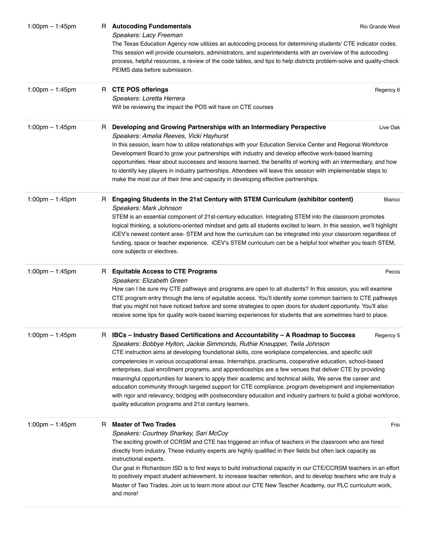| $1:00$ pm $- 1:45$ pm             | <b>Autocoding Fundamentals</b><br>R.<br>Rio Grande West<br>Speakers: Lacy Freeman                                                                                                                                                                                                                                                                                                                                                                                                                                                                                                                                                                                                                                                                                                                                                                                                                      |           |
|-----------------------------------|--------------------------------------------------------------------------------------------------------------------------------------------------------------------------------------------------------------------------------------------------------------------------------------------------------------------------------------------------------------------------------------------------------------------------------------------------------------------------------------------------------------------------------------------------------------------------------------------------------------------------------------------------------------------------------------------------------------------------------------------------------------------------------------------------------------------------------------------------------------------------------------------------------|-----------|
|                                   | The Texas Education Agency now utilizes an autocoding process for determining students' CTE indicator codes.<br>This session will provide counselors, administrators, and superintendents with an overview of the autocoding<br>process, helpful resources, a review of the code tables, and tips to help districts problem-solve and quality-check<br>PEIMS data before submission.                                                                                                                                                                                                                                                                                                                                                                                                                                                                                                                   |           |
| 1:00pm $-$ 1:45pm                 | <b>CTE POS offerings</b><br>H.<br>Speakers: Loretta Herrera<br>Will be reviewing the impact the POS will have on CTE courses                                                                                                                                                                                                                                                                                                                                                                                                                                                                                                                                                                                                                                                                                                                                                                           | Regency 6 |
| 1:00pm $-$ 1:45pm                 | Developing and Growing Partnerships with an Intermediary Perspective<br>н<br>Speakers: Amelia Reeves, Vicki Hayhurst<br>In this session, learn how to utilize relationships with your Education Service Center and Regional Workforce<br>Development Board to grow your partnerships with industry and develop effective work-based learning<br>opportunities. Hear about successes and lessons learned, the benefits of working with an intermediary, and how<br>to identify key players in industry partnerships. Attendees will leave this session with implementable steps to                                                                                                                                                                                                                                                                                                                      | Live Oak  |
| $1:00 \text{pm} - 1:45 \text{pm}$ | make the most our of their time and capacity in developing effective partnerships.<br>Engaging Students in the 21st Century with STEM Curriculum (exhibitor content)<br>н<br>Speakers: Mark Johnson<br>STEM is an essential component of 21st-century education. Integrating STEM into the classroom promotes<br>logical thinking, a solutions-oriented mindset and gets all students excited to learn. In this session, we'll highlight<br>iCEV's newest content area-STEM and how the curriculum can be integrated into your classroom regardless of<br>funding, space or teacher experience. iCEV's STEM curriculum can be a helpful tool whether you teach STEM,<br>core subjects or electives.                                                                                                                                                                                                    | Blanco    |
| $1:00$ pm $- 1:45$ pm             | <b>Equitable Access to CTE Programs</b><br>R.<br>Speakers: Elizabeth Green<br>How can I be sure my CTE pathways and programs are open to all students? In this session, you will examine<br>CTE program entry through the lens of equitable access. You'll identify some common barriers to CTE pathways<br>that you might not have noticed before and some strategies to open doors for student opportunity. You'll also<br>receive some tips for quality work-based learning experiences for students that are sometimes hard to place.                                                                                                                                                                                                                                                                                                                                                              | Pecos     |
| 1:00pm $-$ 1:45pm                 | IBCs - Industry Based Certifications and Accountability - A Roadmap to Success<br>Speakers: Bobbye Hylton, Jackie Simmonds, Ruthie Kneupper, Twila Johnson<br>CTE instruction aims at developing foundational skills, core workplace competencies, and specific skill<br>competencies in various occupational areas. Internships, practicums, cooperative education, school-based<br>enterprises, dual enrollment programs, and apprenticeships are a few venues that deliver CTE by providing<br>meaningful opportunities for leaners to apply their academic and technical skills. We serve the career and<br>education community through targeted support for CTE compliance, program development and implementation<br>with rigor and relevancy; bridging with postsecondary education and industry partners to build a global workforce,<br>quality education programs and 21st century learners. | Regency 5 |
| 1:00pm $-$ 1:45pm                 | <b>Master of Two Trades</b><br>R<br>Speakers: Courtney Sharkey, Sari McCoy<br>The exciting growth of CCRSM and CTE has triggered an influx of teachers in the classroom who are hired<br>directly from industry. These industry experts are highly qualified in their fields but often lack capacity as<br>instructional experts.<br>Our goal in Richardson ISD is to find ways to build instructional capacity in our CTE/CCRSM teachers in an effort<br>to positively impact student achievement, to increase teacher retention, and to develop teachers who are truly a<br>Master of Two Trades. Join us to learn more about our CTE New Teacher Academy, our PLC curriculum work,<br>and more!                                                                                                                                                                                                     | Frio      |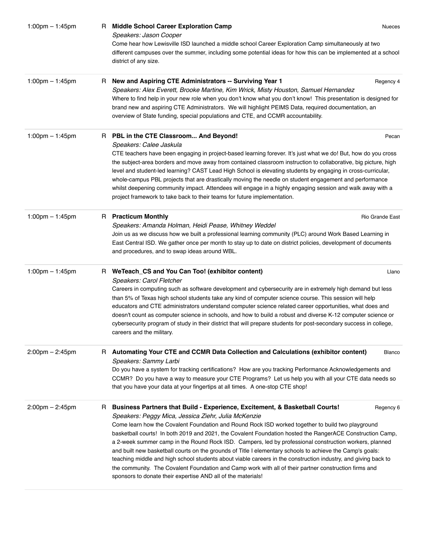| $1:00$ pm $- 1:45$ pm | <b>Middle School Career Exploration Camp</b><br>R.<br><b>Nueces</b><br>Speakers: Jason Cooper<br>Come hear how Lewisville ISD launched a middle school Career Exploration Camp simultaneously at two<br>different campuses over the summer, including some potential ideas for how this can be implemented at a school<br>district of any size.                                                                                                                                                                                                                                                                                                                                                                                                                                                                                                                                           |
|-----------------------|-------------------------------------------------------------------------------------------------------------------------------------------------------------------------------------------------------------------------------------------------------------------------------------------------------------------------------------------------------------------------------------------------------------------------------------------------------------------------------------------------------------------------------------------------------------------------------------------------------------------------------------------------------------------------------------------------------------------------------------------------------------------------------------------------------------------------------------------------------------------------------------------|
| 1:00pm $-$ 1:45pm     | New and Aspiring CTE Administrators -- Surviving Year 1<br>Regency 4<br>H.<br>Speakers: Alex Everett, Brooke Martine, Kim Wrick, Misty Houston, Samuel Hernandez<br>Where to find help in your new role when you don't know what you don't know! This presentation is designed for<br>brand new and aspiring CTE Administrators. We will highlight PEIMS Data, required documentation, an<br>overview of State funding, special populations and CTE, and CCMR accountability.                                                                                                                                                                                                                                                                                                                                                                                                             |
| 1:00pm $-$ 1:45pm     | R PBL in the CTE Classroom And Beyond!<br>Pecan<br>Speakers: Calee Jaskula<br>CTE teachers have been engaging in project-based learning forever. It's just what we do! But, how do you cross<br>the subject-area borders and move away from contained classroom instruction to collaborative, big picture, high<br>level and student-led learning? CAST Lead High School is elevating students by engaging in cross-curricular,<br>whole-campus PBL projects that are drastically moving the needle on student engagement and performance<br>whilst deepening community impact. Attendees will engage in a highly engaging session and walk away with a<br>project framework to take back to their teams for future implementation.                                                                                                                                                       |
| $1:00$ pm $- 1:45$ pm | R Practicum Monthly<br>Rio Grande East<br>Speakers: Amanda Holman, Heidi Pease, Whitney Weddel<br>Join us as we discuss how we built a professional learning community (PLC) around Work Based Learning in<br>East Central ISD. We gather once per month to stay up to date on district policies, development of documents<br>and procedures, and to swap ideas around WBL.                                                                                                                                                                                                                                                                                                                                                                                                                                                                                                               |
| 1:00pm $-$ 1:45pm     | R WeTeach_CS and You Can Too! (exhibitor content)<br>Llano<br>Speakers: Carol Fletcher<br>Careers in computing such as software development and cybersecurity are in extremely high demand but less<br>than 5% of Texas high school students take any kind of computer science course. This session will help<br>educators and CTE administrators understand computer science related career opportunities, what does and<br>doesn't count as computer science in schools, and how to build a robust and diverse K-12 computer science or<br>cybersecurity program of study in their district that will prepare students for post-secondary success in college,<br>careers and the military.                                                                                                                                                                                              |
| $2:00$ pm $- 2:45$ pm | R Automating Your CTE and CCMR Data Collection and Calculations (exhibitor content)<br><b>Blanco</b><br>Speakers: Sammy Larbi<br>Do you have a system for tracking certifications? How are you tracking Performance Acknowledgements and<br>CCMR? Do you have a way to measure your CTE Programs? Let us help you with all your CTE data needs so<br>that you have your data at your fingertips at all times. A one-stop CTE shop!                                                                                                                                                                                                                                                                                                                                                                                                                                                        |
| $2:00$ pm $- 2:45$ pm | Business Partners that Build - Experience, Excitement, & Basketball Courts!<br>Regency 6<br>R.<br>Speakers: Peggy Mica, Jessica Ziehr, Julia McKenzie<br>Come learn how the Covalent Foundation and Round Rock ISD worked together to build two playground<br>basketball courts! In both 2019 and 2021, the Covalent Foundation hosted the RangerACE Construction Camp,<br>a 2-week summer camp in the Round Rock ISD. Campers, led by professional construction workers, planned<br>and built new basketball courts on the grounds of Title I elementary schools to achieve the Camp's goals:<br>teaching middle and high school students about viable careers in the construction industry, and giving back to<br>the community. The Covalent Foundation and Camp work with all of their partner construction firms and<br>sponsors to donate their expertise AND all of the materials! |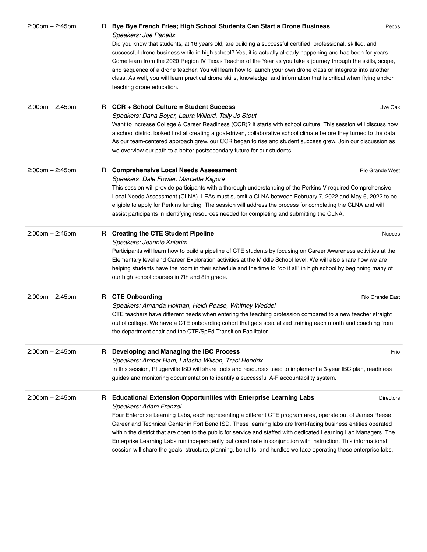| $2:00$ pm $- 2:45$ pm             |    | R Bye Bye French Fries; High School Students Can Start a Drone Business<br>Speakers: Joe Paneitz<br>Did you know that students, at 16 years old, are building a successful certified, professional, skilled, and<br>successful drone business while in high school? Yes, it is actually already happening and has been for years.<br>Come learn from the 2020 Region IV Texas Teacher of the Year as you take a journey through the skills, scope,<br>and sequence of a drone teacher. You will learn how to launch your own drone class or integrate into another<br>class. As well, you will learn practical drone skills, knowledge, and information that is critical when flying and/or<br>teaching drone education. | Pecos |
|-----------------------------------|----|--------------------------------------------------------------------------------------------------------------------------------------------------------------------------------------------------------------------------------------------------------------------------------------------------------------------------------------------------------------------------------------------------------------------------------------------------------------------------------------------------------------------------------------------------------------------------------------------------------------------------------------------------------------------------------------------------------------------------|-------|
| $2:00 \text{pm} - 2:45 \text{pm}$ |    | R CCR + School Culture = Student Success<br>Live Oak<br>Speakers: Dana Boyer, Laura Willard, Tally Jo Stout<br>Want to increase College & Career Readiness (CCR)? It starts with school culture. This session will discuss how<br>a school district looked first at creating a goal-driven, collaborative school climate before they turned to the data.<br>As our team-centered approach grew, our CCR began to rise and student success grew. Join our discussion as<br>we overview our path to a better postsecondary future for our students.                                                                                                                                                                        |       |
| $2:00 \text{pm} - 2:45 \text{pm}$ | H. | <b>Comprehensive Local Needs Assessment</b><br>Rio Grande West<br>Speakers: Dale Fowler, Marcette Kilgore<br>This session will provide participants with a thorough understanding of the Perkins V required Comprehensive<br>Local Needs Assessment (CLNA). LEAs must submit a CLNA between February 7, 2022 and May 6, 2022 to be<br>eligible to apply for Perkins funding. The session will address the process for completing the CLNA and will<br>assist participants in identifying resources needed for completing and submitting the CLNA.                                                                                                                                                                        |       |
| $2:00 \text{pm} - 2:45 \text{pm}$ |    | R Creating the CTE Student Pipeline<br><b>Nueces</b><br>Speakers: Jeannie Knierim<br>Participants will learn how to build a pipeline of CTE students by focusing on Career Awareness activities at the<br>Elementary level and Career Exploration activities at the Middle School level. We will also share how we are<br>helping students have the room in their schedule and the time to "do it all" in high school by beginning many of<br>our high school courses in 7th and 8th grade.                                                                                                                                                                                                                              |       |
| $2:00 \text{pm} - 2:45 \text{pm}$ |    | R CTE Onboarding<br>Rio Grande East<br>Speakers: Amanda Holman, Heidi Pease, Whitney Weddel<br>CTE teachers have different needs when entering the teaching profession compared to a new teacher straight<br>out of college. We have a CTE onboarding cohort that gets specialized training each month and coaching from<br>the department chair and the CTE/SpEd Transition Facilitator.                                                                                                                                                                                                                                                                                                                                |       |
| $2:00 \text{pm} - 2:45 \text{pm}$ |    | R Developing and Managing the IBC Process<br>Speakers: Amber Ham, Latasha Wilson, Traci Hendrix<br>In this session, Pflugerville ISD will share tools and resources used to implement a 3-year IBC plan, readiness<br>guides and monitoring documentation to identify a successful A-F accountability system.                                                                                                                                                                                                                                                                                                                                                                                                            | Frio  |
| $2:00 \text{pm} - 2:45 \text{pm}$ |    | R Educational Extension Opportunities with Enterprise Learning Labs<br><b>Directors</b><br>Speakers: Adam Frenzel<br>Four Enterprise Learning Labs, each representing a different CTE program area, operate out of James Reese<br>Career and Technical Center in Fort Bend ISD. These learning labs are front-facing business entities operated<br>within the district that are open to the public for service and staffed with dedicated Learning Lab Managers. The<br>Enterprise Learning Labs run independently but coordinate in conjunction with instruction. This informational<br>session will share the goals, structure, planning, benefits, and hurdles we face operating these enterprise labs.               |       |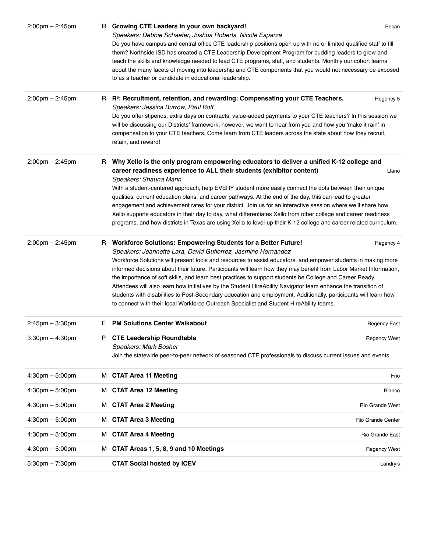| $2:00 \text{pm} - 2:45 \text{pm}$ |    | R Growing CTE Leaders in your own backyard!<br>Speakers: Debbie Schaefer, Joshua Roberts, Nicole Esparza<br>Do you have campus and central office CTE leadership positions open up with no or limited qualified staff to fill<br>them? Northside ISD has created a CTE Leadership Development Program for budding leaders to grow and<br>teach the skills and knowledge needed to lead CTE programs, staff, and students. Monthly our cohort learns<br>about the many facets of moving into leadership and CTE components that you would not necessary be exposed<br>to as a teacher or candidate in educational leadership.                                                                                                                                                                                             | Pecan               |
|-----------------------------------|----|--------------------------------------------------------------------------------------------------------------------------------------------------------------------------------------------------------------------------------------------------------------------------------------------------------------------------------------------------------------------------------------------------------------------------------------------------------------------------------------------------------------------------------------------------------------------------------------------------------------------------------------------------------------------------------------------------------------------------------------------------------------------------------------------------------------------------|---------------------|
| $2:00 \text{pm} - 2:45 \text{pm}$ | R. | R <sup>3</sup> : Recruitment, retention, and rewarding: Compensating your CTE Teachers.<br>Speakers: Jessica Burrow, Paul Boff<br>Do you offer stipends, extra days on contracts, value-added payments to your CTE teachers? In this session we<br>will be discussing our Districts' framework; however, we want to hear from you and how you 'make it rain' in<br>compensation to your CTE teachers. Come learn from CTE leaders across the state about how they recruit,<br>retain, and reward!                                                                                                                                                                                                                                                                                                                        | Regency 5           |
| $2:00$ pm $- 2:45$ pm             | н  | Why Xello is the only program empowering educators to deliver a unified K-12 college and<br>career readiness experience to ALL their students (exhibitor content)<br>Speakers: Shauna Mann<br>With a student-centered approach, help EVERY student more easily connect the dots between their unique<br>qualities, current education plans, and career pathways. At the end of the day, this can lead to greater<br>engagement and achievement rates for your district. Join us for an interactive session where we'll share how<br>Xello supports educators in their day to day, what differentiates Xello from other college and career readiness<br>programs, and how districts in Texas are using Xello to level-up their K-12 college and career related curriculum.                                                | Llano               |
| $2:00 \text{pm} - 2:45 \text{pm}$ | R. | <b>Workforce Solutions: Empowering Students for a Better Future!</b><br>Speakers: Jeannette Lara, David Gutierrez, Jasmine Hernandez<br>Workforce Solutions will present tools and resources to assist educators, and empower students in making more<br>informed decisions about their future. Participants will learn how they may benefit from Labor Market Information,<br>the importance of soft skills, and learn best practices to support students be College and Career Ready.<br>Attendees will also learn how initiatives by the Student HireAbility Navigator team enhance the transition of<br>students with disabilities to Post-Secondary education and employment. Additionally, participants will learn how<br>to connect with their local Workforce Outreach Specialist and Student HireAbility teams. | Regency 4           |
| $2:45$ pm $-3:30$ pm              | E. | <b>PM Solutions Center Walkabout</b>                                                                                                                                                                                                                                                                                                                                                                                                                                                                                                                                                                                                                                                                                                                                                                                     | <b>Regency East</b> |
| $3:30$ pm $-4:30$ pm              | P  | <b>CTE Leadership Roundtable</b><br>Speakers: Mark Bosher<br>Join the statewide peer-to-peer network of seasoned CTE professionals to discuss current issues and events.                                                                                                                                                                                                                                                                                                                                                                                                                                                                                                                                                                                                                                                 | <b>Regency West</b> |
| $4:30 \text{pm} - 5:00 \text{pm}$ |    | M CTAT Area 11 Meeting                                                                                                                                                                                                                                                                                                                                                                                                                                                                                                                                                                                                                                                                                                                                                                                                   | Frio                |
| $4:30 \text{pm} - 5:00 \text{pm}$ |    | M CTAT Area 12 Meeting                                                                                                                                                                                                                                                                                                                                                                                                                                                                                                                                                                                                                                                                                                                                                                                                   | Blanco              |
| $4:30$ pm $-5:00$ pm              |    | M CTAT Area 2 Meeting                                                                                                                                                                                                                                                                                                                                                                                                                                                                                                                                                                                                                                                                                                                                                                                                    | Rio Grande West     |
| $4:30 \text{pm} - 5:00 \text{pm}$ | м  | <b>CTAT Area 3 Meeting</b>                                                                                                                                                                                                                                                                                                                                                                                                                                                                                                                                                                                                                                                                                                                                                                                               | Rio Grande Center   |
| $4:30$ pm $-5:00$ pm              | м  | <b>CTAT Area 4 Meeting</b>                                                                                                                                                                                                                                                                                                                                                                                                                                                                                                                                                                                                                                                                                                                                                                                               | Rio Grande East     |
| $4:30 \text{pm} - 5:00 \text{pm}$ |    | M CTAT Areas 1, 5, 8, 9 and 10 Meetings                                                                                                                                                                                                                                                                                                                                                                                                                                                                                                                                                                                                                                                                                                                                                                                  | <b>Regency West</b> |
| $5:30$ pm $-7:30$ pm              |    | <b>CTAT Social hosted by iCEV</b>                                                                                                                                                                                                                                                                                                                                                                                                                                                                                                                                                                                                                                                                                                                                                                                        | Landry's            |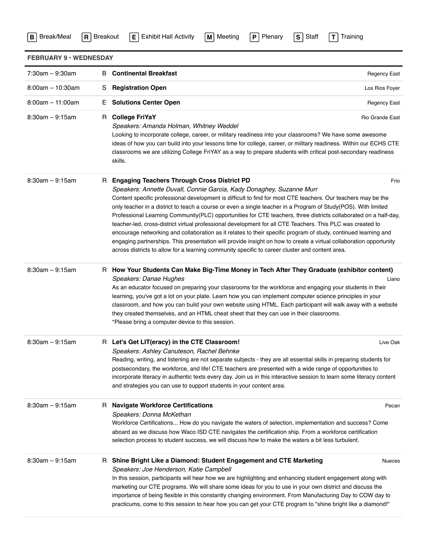|  | <b>B</b> Break/Meal | l R |
|--|---------------------|-----|
|--|---------------------|-----|

| Meeting |  |
|---------|--|
|         |  |

| <b>FEBRUARY 9 · WEDNESDAY</b> |    |                                                                                                                                                                                                                                                                                                                                                                                                                                                                                                                                                                                                                                                                                                                                                                                                                                                                                                                                         |                     |
|-------------------------------|----|-----------------------------------------------------------------------------------------------------------------------------------------------------------------------------------------------------------------------------------------------------------------------------------------------------------------------------------------------------------------------------------------------------------------------------------------------------------------------------------------------------------------------------------------------------------------------------------------------------------------------------------------------------------------------------------------------------------------------------------------------------------------------------------------------------------------------------------------------------------------------------------------------------------------------------------------|---------------------|
| $7:30am - 9:30am$             |    | <b>B</b> Continental Breakfast                                                                                                                                                                                                                                                                                                                                                                                                                                                                                                                                                                                                                                                                                                                                                                                                                                                                                                          | <b>Regency East</b> |
| $8:00am - 10:30am$            | S  | <b>Registration Open</b>                                                                                                                                                                                                                                                                                                                                                                                                                                                                                                                                                                                                                                                                                                                                                                                                                                                                                                                | Los Rios Foyer      |
| $8:00am - 11:00am$            | E. | <b>Solutions Center Open</b>                                                                                                                                                                                                                                                                                                                                                                                                                                                                                                                                                                                                                                                                                                                                                                                                                                                                                                            | <b>Regency East</b> |
| $8:30am - 9:15am$             |    | R College FriYaY<br>Speakers: Amanda Holman, Whitney Weddel<br>Looking to incorporate college, career, or military readiness into your classrooms? We have some awesome<br>ideas of how you can build into your lessons time for college, career, or military readiness. Within our ECHS CTE<br>classrooms we are utilizing College FriYAY as a way to prepare students with critical post-secondary readiness<br>skills.                                                                                                                                                                                                                                                                                                                                                                                                                                                                                                               | Rio Grande East     |
| $8:30am - 9:15am$             |    | R Engaging Teachers Through Cross District PD<br>Speakers: Annette Duvall, Connie Garcia, Kady Donaghey, Suzanne Murr<br>Content specific professional development is difficult to find for most CTE teachers. Our teachers may be the<br>only teacher in a district to teach a course or even a single teacher in a Program of Study(POS). With limited<br>Professional Learning Community (PLC) opportunities for CTE teachers, three districts collaborated on a half-day,<br>teacher-led, cross-district virtual professional development for all CTE Teachers. This PLC was created to<br>encourage networking and collaboration as it relates to their specific program of study, continued learning and<br>engaging partnerships. This presentation will provide insight on how to create a virtual collaboration opportunity<br>across districts to allow for a learning community specific to career cluster and content area. | Frio                |
| $8:30am - 9:15am$             |    | R How Your Students Can Make Big-Time Money in Tech After They Graduate (exhibitor content)<br>Speakers: Danae Hughes<br>As an educator focused on preparing your classrooms for the workforce and engaging your students in their<br>learning, you've got a lot on your plate. Learn how you can implement computer science principles in your<br>classroom, and how you can build your own website using HTML. Each participant will walk away with a website<br>they created themselves, and an HTML cheat sheet that they can use in their classrooms.<br>*Please bring a computer device to this session.                                                                                                                                                                                                                                                                                                                          | Llano               |
| $8:30am - 9:15am$             |    | R Let's Get LIT(eracy) in the CTE Classroom!<br>Speakers: Ashley Canuteson, Rachel Behnke<br>Reading, writing, and listening are not separate subjects - they are all essential skills in preparing students for<br>postsecondary, the workforce, and life! CTE teachers are presented with a wide range of opportunities to<br>incorporate literacy in authentic texts every day. Join us in this interactive session to learn some literacy content<br>and strategies you can use to support students in your content area.                                                                                                                                                                                                                                                                                                                                                                                                           | Live Oak            |
| $8:30am - 9:15am$             |    | R Navigate Workforce Certifications<br>Speakers: Donna McKethan<br>Workforce Certifications How do you navigate the waters of selection, implementation and success? Come<br>aboard as we discuss how Waco ISD CTE navigates the certification ship. From a workforce certification<br>selection process to student success, we will discuss how to make the waters a bit less turbulent.                                                                                                                                                                                                                                                                                                                                                                                                                                                                                                                                               | Pecan               |
| $8:30am - 9:15am$             |    | R Shine Bright Like a Diamond: Student Engagement and CTE Marketing<br>Speakers: Joe Henderson, Katie Campbell<br>In this session, participants will hear how we are highlighting and enhancing student engagement along with<br>marketing our CTE programs. We will share some ideas for you to use in your own district and discuss the<br>importance of being flexible in this constantly changing environment. From Manufacturing Day to COW day to<br>practicums, come to this session to hear how you can get your CTE program to "shine bright like a diamond!"                                                                                                                                                                                                                                                                                                                                                                  | <b>Nueces</b>       |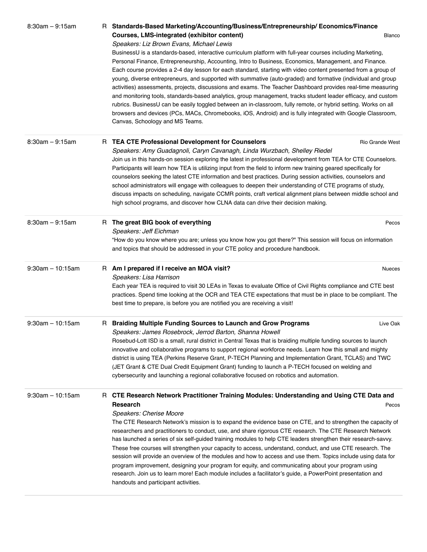| $8:30am - 9:15am$   | R Standards-Based Marketing/Accounting/Business/Entrepreneurship/Economics/Finance<br>Courses, LMS-integrated (exhibitor content)<br><b>Blanco</b><br>Speakers: Liz Brown Evans, Michael Lewis                                                                                                                                                                                                                                                                                                                                                                                                                                                                                                                                                                                                                                                                                                                                                                                     |  |
|---------------------|------------------------------------------------------------------------------------------------------------------------------------------------------------------------------------------------------------------------------------------------------------------------------------------------------------------------------------------------------------------------------------------------------------------------------------------------------------------------------------------------------------------------------------------------------------------------------------------------------------------------------------------------------------------------------------------------------------------------------------------------------------------------------------------------------------------------------------------------------------------------------------------------------------------------------------------------------------------------------------|--|
|                     | BusinessU is a standards-based, interactive curriculum platform with full-year courses including Marketing,<br>Personal Finance, Entrepreneurship, Accounting, Intro to Business, Economics, Management, and Finance.<br>Each course provides a 2-4 day lesson for each standard, starting with video content presented from a group of<br>young, diverse entrepreneurs, and supported with summative (auto-graded) and formative (individual and group<br>activities) assessments, projects, discussions and exams. The Teacher Dashboard provides real-time measuring<br>and monitoring tools, standards-based analytics, group management, tracks student leader efficacy, and custom<br>rubrics. BusinessU can be easily toggled between an in-classroom, fully remote, or hybrid setting. Works on all<br>browsers and devices (PCs, MACs, Chromebooks, iOS, Android) and is fully integrated with Google Classroom,<br>Canvas, Schoology and MS Teams.                       |  |
| $8:30am - 9:15am$   | R TEA CTE Professional Development for Counselors<br>Rio Grande West<br>Speakers: Amy Guadagnoli, Caryn Cavanagh, Linda Wurzbach, Shelley Riedel<br>Join us in this hands-on session exploring the latest in professional development from TEA for CTE Counselors.<br>Participants will learn how TEA is utilizing input from the field to inform new training geared specifically for<br>counselors seeking the latest CTE information and best practices. During session activities, counselors and<br>school administrators will engage with colleagues to deepen their understanding of CTE programs of study,<br>discuss impacts on scheduling, navigate CCMR points, craft vertical alignment plans between middle school and<br>high school programs, and discover how CLNA data can drive their decision making.                                                                                                                                                           |  |
| $8:30am - 9:15am$   | R The great BIG book of everything<br>Pecos<br>Speakers: Jeff Eichman<br>"How do you know where you are; unless you know how you got there?" This session will focus on information<br>and topics that should be addressed in your CTE policy and procedure handbook.                                                                                                                                                                                                                                                                                                                                                                                                                                                                                                                                                                                                                                                                                                              |  |
| $9:30am - 10:15am$  | R Am I prepared if I receive an MOA visit?<br><b>Nueces</b><br>Speakers: Lisa Harrison<br>Each year TEA is required to visit 30 LEAs in Texas to evaluate Office of Civil Rights compliance and CTE best<br>practices. Spend time looking at the OCR and TEA CTE expectations that must be in place to be compliant. The<br>best time to prepare, is before you are notified you are receiving a visit!                                                                                                                                                                                                                                                                                                                                                                                                                                                                                                                                                                            |  |
| $9:30$ am - 10:15am | R Braiding Multiple Funding Sources to Launch and Grow Programs<br>Live Oak<br>Speakers: James Rosebrock, Jerrod Barton, Shanna Howell<br>Rosebud-Lott ISD is a small, rural district in Central Texas that is braiding multiple funding sources to launch<br>innovative and collaborative programs to support regional workforce needs. Learn how this small and mighty<br>district is using TEA (Perkins Reserve Grant, P-TECH Planning and Implementation Grant, TCLAS) and TWC<br>(JET Grant & CTE Dual Credit Equipment Grant) funding to launch a P-TECH focused on welding and<br>cybersecurity and launching a regional collaborative focused on robotics and automation.                                                                                                                                                                                                                                                                                                  |  |
| $9:30$ am - 10:15am | R CTE Research Network Practitioner Training Modules: Understanding and Using CTE Data and<br>Research<br>Pecos<br>Speakers: Cherise Moore<br>The CTE Research Network's mission is to expand the evidence base on CTE, and to strengthen the capacity of<br>researchers and practitioners to conduct, use, and share rigorous CTE research. The CTE Research Network<br>has launched a series of six self-guided training modules to help CTE leaders strengthen their research-savvy.<br>These free courses will strengthen your capacity to access, understand, conduct, and use CTE research. The<br>session will provide an overview of the modules and how to access and use them. Topics include using data for<br>program improvement, designing your program for equity, and communicating about your program using<br>research. Join us to learn more! Each module includes a facilitator's guide, a PowerPoint presentation and<br>handouts and participant activities. |  |